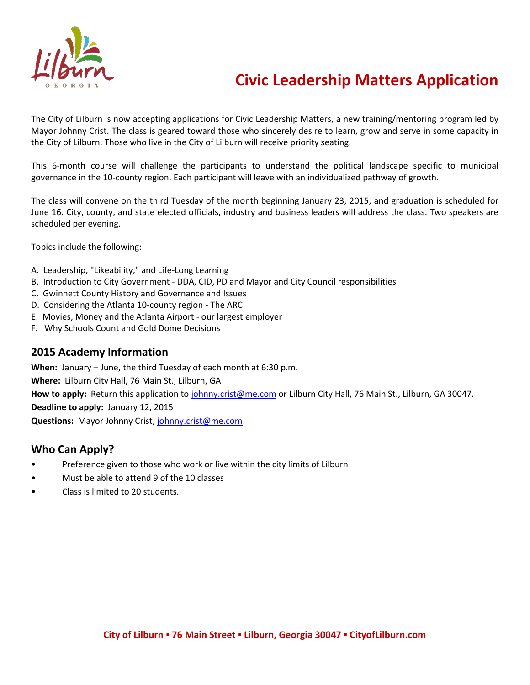

# **Civic Leadership Matters Application**

The City of Lilburn is now accepting applications for Civic Leadership Matters, a new training/mentoring program led by Mayor Johnny Crist. The class is geared toward those who sincerely desire to learn, grow and serve in some capacity in the City of Lilburn. Those who live in the City of Lilburn will receive priority seating.

This 6-month course will challenge the participants to understand the political landscape specific to municipal governance in the 10-county region. Each participant will leave with an individualized pathway of growth.

The class will convene on the third Tuesday of the month beginning January 23, 2015, and graduation is scheduled for June 16. City, county, and state elected officials, industry and business leaders will address the class. Two speakers are scheduled per evening.

Topics include the following:

- A. Leadership, "Likeability," and Life-Long Learning
- B. Introduction to City Government DDA, CID, PD and Mayor and City Council responsibilities
- C. Gwinnett County History and Governance and Issues
- D. Considering the Atlanta 10-county region The ARC
- E. Movies, Money and the Atlanta Airport our largest employer
- F. Why Schools Count and Gold Dome Decisions

### **2015 Academy Information**

**When:** January – June, the third Tuesday of each month at 6:30 p.m. **Where:** Lilburn City Hall, 76 Main St., Lilburn, GA **How to apply:** Return this application to [johnny.crist@me.com](mailto:johnny.crist@me.com) or Lilburn City Hall, 76 Main St., Lilburn, GA 30047. **Deadline to apply:** January 12, 2015 **Questions:** Mayor Johnny Crist[, johnny.crist@me.com](mailto:johnny.crist@me.com)

### **Who Can Apply?**

- Preference given to those who work or live within the city limits of Lilburn
- Must be able to attend 9 of the 10 classes
- Class is limited to 20 students.